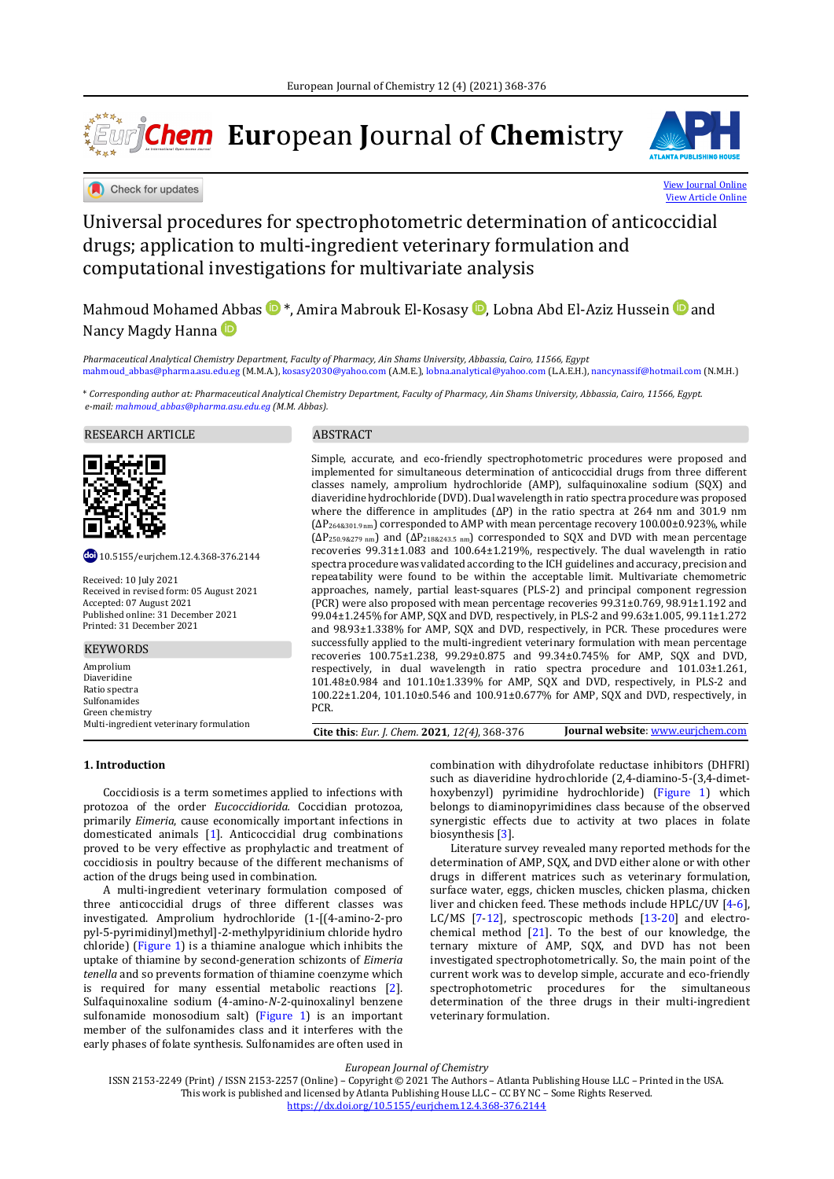# ∗\*\*<sub>\*</sub> **Eur**opean **J**ournal of **Chem**istry







# Universal procedures for spectrophotometric determination of anticoccidial drugs; application to multi-ingredient veterinary formulation and computational investigations for multivariate analysis

Mahmoud Mohame[d Ab](#page-7-0)b[a](#page-7-0)s  $\mathbf{D}^*$  $\mathbf{D}^*$ [,](#page-7-0) Amira Mabrouk El-Kosasy  $\mathbf{D}$ , Lobna Abd El-Aziz Hussein  $\mathbf{D}$  and Nancy Magdy Hanna

*Pharmaceutical Analytical Chemistry Department, Faculty of Pharmacy, Ain Shams University, Abbassia, Cairo, 11566, Egypt* [mahmoud\\_abbas@pharma.asu.edu.eg](mailto:mahmoud_abbas@pharma.asu.edu.eg) (M.M.A.)[, kosasy2030@yahoo.com](mailto:kosasy2030@yahoo.com) (A.M.E.)[, lobna.analytical@yahoo.com](mailto:lobna.analytical@yahoo.com) (L.A.E.H.)[, nancynassif@hotmail.com](mailto:nancynassif@hotmail.com) (N.M.H.)

\* *Corresponding author at: Pharmaceutical Analytical Chemistry Department, Faculty of Pharmacy, Ain Shams University, Abbassia, Cairo, 11566, Egypt. e-mail[: mahmoud\\_abbas@pharma.asu.edu.eg](mailto:mahmoud_abbas@pharma.asu.edu.eg) (M.M. Abbas).*

# RESEARCH ARTICLE ABSTRACT



10.5155/eurjchem.12.4.368-376.2144

Received: 10 July 2021 Received in revised form: 05 August 2021 Accepted: 07 August 2021 Published online: 31 December 2021 Printed: 31 December 2021

#### **KEYWORDS**

Amprolium Diaveridine Ratio spectra Sulfonamides Green chemistry<br>Multi-ingredient veterinary formulation

Simple, accurate, and eco-friendly spectrophotometric procedures were proposed and implemented for simultaneous determination of anticoccidial drugs from three different classes namely, amprolium hydrochloride (AMP), sulfaquinoxaline sodium (SQX) and diaveridine hydrochloride (DVD). Dual wavelength in ratio spectra procedure was proposed where the difference in amplitudes (ΔP) in the ratio spectra at 264 nm and 301.9 nm (ΔP264&301.9 nm) corresponded to AMP with mean percentage recovery 100.00±0.923%, while (ΔP250.9&279 nm) and (ΔP218&243.5 nm) corresponded to SQX and DVD with mean percentage recoveries 99.31±1.083 and 100.64±1.219%, respectively. The dual wavelength in ratio spectra procedure was validated according to the ICH guidelines and accuracy, precision and repeatability were found to be within the acceptable limit. Multivariate chemometric approaches, namely, partial least-squares (PLS-2) and principal component regression (PCR) were also proposed with mean percentage recoveries 99.31±0.769, 98.91±1.192 and 99.04±1.245% for AMP, SQX and DVD, respectively, in PLS-2 and 99.63±1.005, 99.11±1.272 and 98.93±1.338% for AMP, SQX and DVD, respectively, in PCR. These procedures were successfully applied to the multi-ingredient veterinary formulation with mean percentage recoveries 100.75±1.238, 99.29±0.875 and 99.34±0.745% for AMP, SQX and DVD, respectively, in dual wavelength in ratio spectra procedure and 101.03±1.261, 101.48±0.984 and 101.10±1.339% for AMP, SQX and DVD, respectively, in PLS-2 and 100.22±1.204, 101.10±0.546 and 100.91±0.677% for AMP, SQX and DVD, respectively, in PCR.

Multi-ingredient veterinary formulation **Cite this**: *Eur. J. Chem.* **2021**, *12(4)*, 368-376 **Journal website**[: www.eurjchem.com](http://www.eurjchem.com/)

# **1. Introduction**

Coccidiosis is a term sometimes applied to infections with protozoa of the order *Eucoccidiorida.* Coccidian protozoa, primarily *Eimeria*, cause economically important infections in domesticated animals [1]. Anticoccidial drug combinations proved to be very effective as prophylactic and treatment of coccidiosis in poultry because of the different mechanisms of action of the drugs being used in combination.

A multi-ingredient veterinary formulation composed of three anticoccidial drugs of three different classes was investigated. Amprolium hydrochloride (1-[(4-amino-2-pro pyl-5-pyrimidinyl)methyl]-2-methylpyridinium chloride hydro chloride) (Figure 1) is a thiamine analogue which inhibits the uptake of thiamine by second-generation schizonts of *Eimeria tenella* and so prevents formation of thiamine coenzyme which is required for many essential metabolic reactions [2]. Sulfaquinoxaline sodium (4-amino-*N*-2-quinoxalinyl benzene sulfonamide monosodium salt) (Figure 1) is an important member of the sulfonamides class and it interferes with the early phases of folate synthesis. Sulfonamides are often used in

combination with dihydrofolate reductase inhibitors (DHFRI) such as diaveridine hydrochloride (2,4-diamino-5-(3,4-dimethoxybenzyl) pyrimidine hydrochloride) (Figure 1) which belongs to diaminopyrimidines class because of the observed synergistic effects due to activity at two places in folate biosynthesis [3].

Literature survey revealed many reported methods for the determination of AMP, SQX, and DVD either alone or with other drugs in different matrices such as veterinary formulation, surface water, eggs, chicken muscles, chicken plasma, chicken liver and chicken feed. These methods include HPLC/UV [4-6], LC/MS [7-12], spectroscopic methods [13-20] and electrochemical method [21]. To the best of our knowledge, the ternary mixture of AMP, SQX, and DVD has not been investigated spectrophotometrically. So, the main point of the current work was to develop simple, accurate and eco-friendly spectrophotometric procedures for the simultaneous determination of the three drugs in their multi-ingredient veterinary formulation.

*European Journal of Chemistry*

ISSN 2153-2249 (Print) / ISSN 2153-2257 (Online) – Copyright © 2021 The Authors – Atlanta Publishing House LLC – Printed in the USA. This work is published and licensed by Atlanta Publishing House LLC – CC BY NC – Some Rights Reserved. [https://dx.doi.org/10.5155/eurjchem.12.4.368](https://dx.doi.org/10.5155/eurjchem.12.4.368-376.2144)-376.2144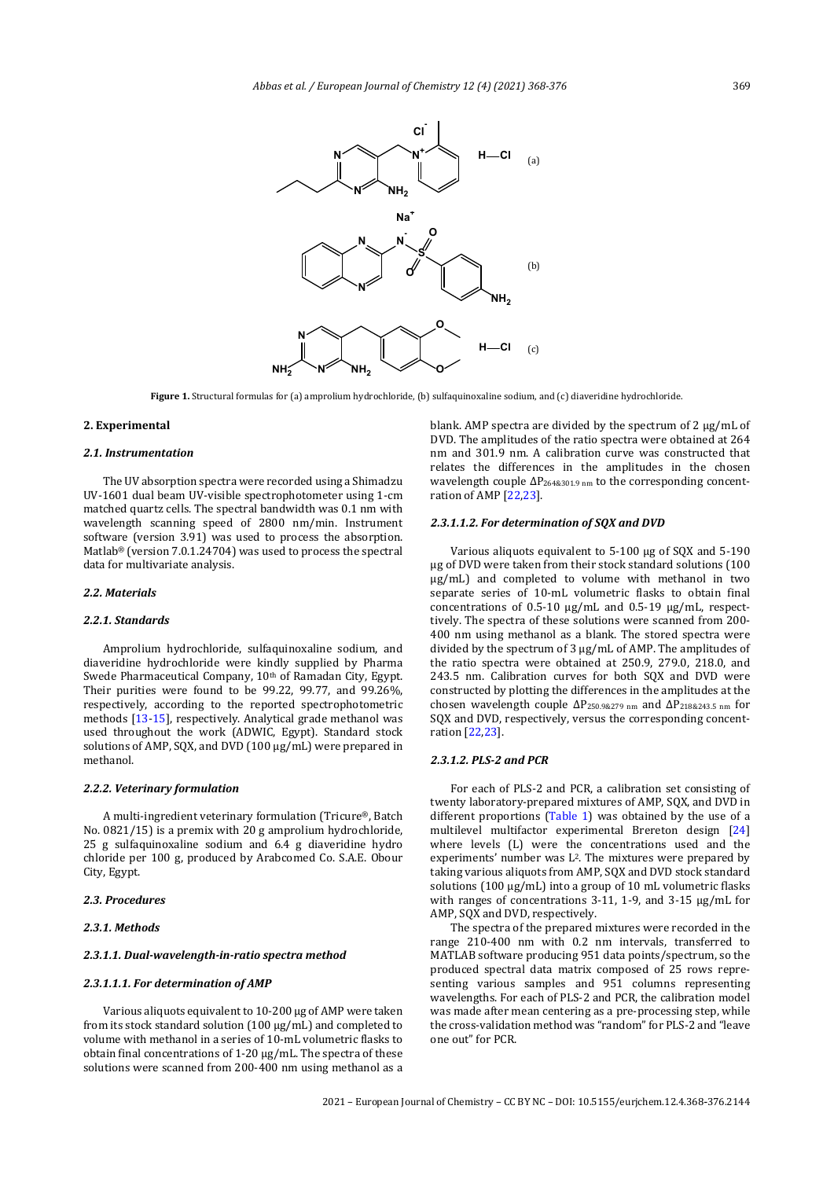

**Figure 1.** Structural formulas for (a) amprolium hydrochloride, (b) sulfaquinoxaline sodium, and (c) diaveridine hydrochloride.

# **2. Experimental**

#### *2.1. Instrumentation*

The UV absorption spectra were recorded using a Shimadzu UV-1601 dual beam UV-visible spectrophotometer using 1-cm matched quartz cells. The spectral bandwidth was 0.1 nm with wavelength scanning speed of 2800 nm/min. Instrument software (version 3.91) was used to process the absorption. Matlab® (version 7.0.1.24704) was used to process the spectral data for multivariate analysis.

## *2.2. Materials*

# *2.2.1. Standards*

Amprolium hydrochloride, sulfaquinoxaline sodium, and diaveridine hydrochloride were kindly supplied by Pharma Swede Pharmaceutical Company, 10<sup>th</sup> of Ramadan City, Egypt. Their purities were found to be 99.22, 99.77, and 99.26%, respectively, according to the reported spectrophotometric methods [13-15], respectively. Analytical grade methanol was used throughout the work (ADWIC, Egypt). Standard stock solutions of AMP, SQX, and DVD (100 µg/mL) were prepared in methanol.

#### *2.2.2. Veterinary formulation*

A multi-ingredient veterinary formulation (Tricure®, Batch No. 0821/15) is a premix with 20 g amprolium hydrochloride, 25 g sulfaquinoxaline sodium and 6.4 g diaveridine hydro chloride per 100 g, produced by Arabcomed Co. S.A.E. Obour City, Egypt.

# *2.3. Procedures*

# *2.3.1. Methods*

# *2.3.1.1. Dual-wavelength-in-ratio spectra method*

# *2.3.1.1.1. For determination of AMP*

Various aliquots equivalent to 10-200 µg of AMP were taken from its stock standard solution (100 µg/mL) and completed to volume with methanol in a series of 10-mL volumetric flasks to obtain final concentrations of 1-20 µg/mL. The spectra of these solutions were scanned from 200-400 nm using methanol as a

blank. AMP spectra are divided by the spectrum of 2 µg/mL of DVD. The amplitudes of the ratio spectra were obtained at 264 nm and 301.9 nm. A calibration curve was constructed that relates the differences in the amplitudes in the chosen wavelength couple ΔP264&301.9 nm to the corresponding concentration of AMP [22,23].

#### *2.3.1.1.2. For determination of SQX and DVD*

Various aliquots equivalent to 5-100 µg of SQX and 5-190 µg of DVD were taken from their stock standard solutions (100 µg/mL) and completed to volume with methanol in two separate series of 10-mL volumetric flasks to obtain final concentrations of 0.5-10 µg/mL and 0.5-19 µg/mL, respecttively. The spectra of these solutions were scanned from 200- 400 nm using methanol as a blank. The stored spectra were divided by the spectrum of 3 µg/mL of AMP. The amplitudes of the ratio spectra were obtained at 250.9, 279.0, 218.0, and 243.5 nm. Calibration curves for both SQX and DVD were constructed by plotting the differences in the amplitudes at the chosen wavelength couple  $\Delta P_{250.98279 \text{ nm}}$  and  $\Delta P_{2188243.5 \text{ nm}}$  for SQX and DVD, respectively, versus the corresponding concentration [22,23].

#### *2.3.1.2. PLS-2 and PCR*

For each of PLS-2 and PCR, a calibration set consisting of twenty laboratory-prepared mixtures of AMP, SQX, and DVD in different proportions (Table 1) was obtained by the use of a multilevel multifactor experimental Brereton design [24] where levels (L) were the concentrations used and the experiments' number was L2. The mixtures were prepared by taking various aliquots from AMP, SQX and DVD stock standard solutions (100 µg/mL) into a group of 10 mL volumetric flasks with ranges of concentrations 3-11, 1-9, and 3-15 µg/mL for AMP, SQX and DVD, respectively.

The spectra of the prepared mixtures were recorded in the range 210-400 nm with 0.2 nm intervals, transferred to MATLAB software producing 951 data points/spectrum, so the produced spectral data matrix composed of 25 rows representing various samples and 951 columns representing wavelengths. For each of PLS-2 and PCR, the calibration model was made after mean centering as a pre-processing step, while the cross-validation method was "random" for PLS-2 and "leave one out" for PCR.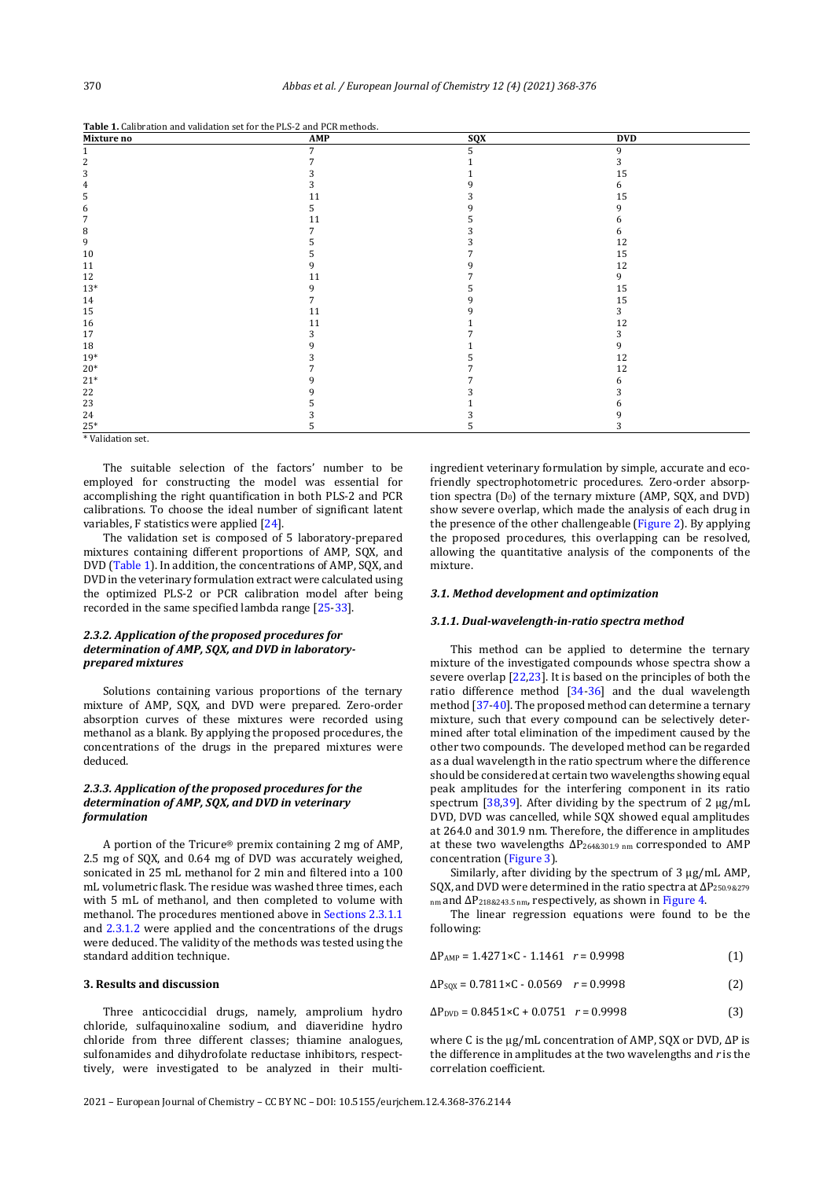**Table 1.** Calibration and validation set for the PLS-2 and PCR methods.

| Mixture no  | AMP | sqx | <b>DVD</b> |
|-------------|-----|-----|------------|
|             | 7   | 5   | 9          |
|             |     |     | 3          |
|             |     |     | 15         |
|             |     |     | h.         |
|             |     |     | 15         |
| h           |     |     |            |
|             | 11  |     | n          |
| 8           |     |     |            |
| 9           |     |     | 12         |
| 10          |     |     | 15         |
| 11          |     |     | 12         |
| 12          |     |     | 9          |
| $13*$       |     |     | 15         |
| 14          |     |     | 15         |
| 15          | 11  |     | 3          |
| 16          | 11  |     | 12         |
| 17          |     |     |            |
| 18          |     |     | 9          |
| $19*$       |     |     | 12         |
| $20*$       |     |     | 12         |
| $21^{\ast}$ |     |     |            |
| 22          |     |     |            |
| 23          |     |     |            |
| 24          |     |     |            |
| $25*$       |     |     |            |

\* Validation set.

The suitable selection of the factors' number to be employed for constructing the model was essential for accomplishing the right quantification in both PLS-2 and PCR calibrations. To choose the ideal number of significant latent variables, F statistics were applied [24].

The validation set is composed of 5 laboratory-prepared mixtures containing different proportions of AMP, SQX, and DVD (Table 1). In addition, the concentrations of AMP, SQX, and DVD in the veterinary formulation extract were calculated using the optimized PLS-2 or PCR calibration model after being recorded in the same specified lambda range [25-33].

# *2.3.2. Application of the proposed procedures for determination of AMP, SQX, and DVD in laboratoryprepared mixtures*

Solutions containing various proportions of the ternary mixture of AMP, SQX, and DVD were prepared. Zero-order absorption curves of these mixtures were recorded using methanol as a blank. By applying the proposed procedures, the concentrations of the drugs in the prepared mixtures were deduced.

# *2.3.3. Application of the proposed procedures for the determination of AMP, SQX, and DVD in veterinary formulation*

A portion of the Tricure® premix containing 2 mg of AMP, 2.5 mg of SQX, and 0.64 mg of DVD was accurately weighed, sonicated in 25 mL methanol for 2 min and filtered into a 100 mL volumetric flask. The residue was washed three times, each with 5 mL of methanol, and then completed to volume with methanol. The procedures mentioned above in Sections 2.3.1.1 and 2.3.1.2 were applied and the concentrations of the drugs were deduced. The validity of the methods was tested using the standard addition technique.

#### **3. Results and discussion**

Three anticoccidial drugs, namely, amprolium hydro chloride, sulfaquinoxaline sodium, and diaveridine hydro chloride from three different classes; thiamine analogues, sulfonamides and dihydrofolate reductase inhibitors, respecttively, were investigated to be analyzed in their multiingredient veterinary formulation by simple, accurate and ecofriendly spectrophotometric procedures. Zero-order absorption spectra  $(D_0)$  of the ternary mixture (AMP, SQX, and DVD) show severe overlap, which made the analysis of each drug in the presence of the other challengeable (Figure 2). By applying the proposed procedures, this overlapping can be resolved, allowing the quantitative analysis of the components of the mixture.

#### *3.1. Method development and optimization*

# *3.1.1. Dual-wavelength-in-ratio spectra method*

This method can be applied to determine the ternary mixture of the investigated compounds whose spectra show a severe overlap [22,23]. It is based on the principles of both the ratio difference method [34-36] and the dual wavelength method [37-40]. The proposed method can determine a ternary mixture, such that every compound can be selectively determined after total elimination of the impediment caused by the other two compounds. The developed method can be regarded as a dual wavelength in the ratio spectrum where the difference should be considered at certain two wavelengths showing equal peak amplitudes for the interfering component in its ratio spectrum [38,39]. After dividing by the spectrum of 2  $\mu$ g/mL DVD, DVD was cancelled, while SQX showed equal amplitudes at 264.0 and 301.9 nm. Therefore, the difference in amplitudes at these two wavelengths ΔP264&301.9 nm corresponded to AMP concentration (Figure 3).

Similarly, after dividing by the spectrum of 3 µg/mL AMP, SQX, and DVD were determined in the ratio spectra at ΔP250.9&279  $_{nm}$  and  $\Delta P_{218\&243.5\,nm}$ , respectively, as shown in Figure 4.

The linear regression equations were found to be the following:

$$
\Delta P_{\text{AMP}} = 1.4271 \times C - 1.1461 \quad r = 0.9998 \tag{1}
$$

$$
\Delta P_{\text{SQX}} = 0.7811 \times C - 0.0569 \quad r = 0.9998 \tag{2}
$$

$$
\Delta P_{\text{DVD}} = 0.8451 \times C + 0.0751 \quad r = 0.9998 \tag{3}
$$

where C is the µg/mL concentration of AMP, SQX or DVD, ΔP is the difference in amplitudes at the two wavelengths and *r* is the correlation coefficient.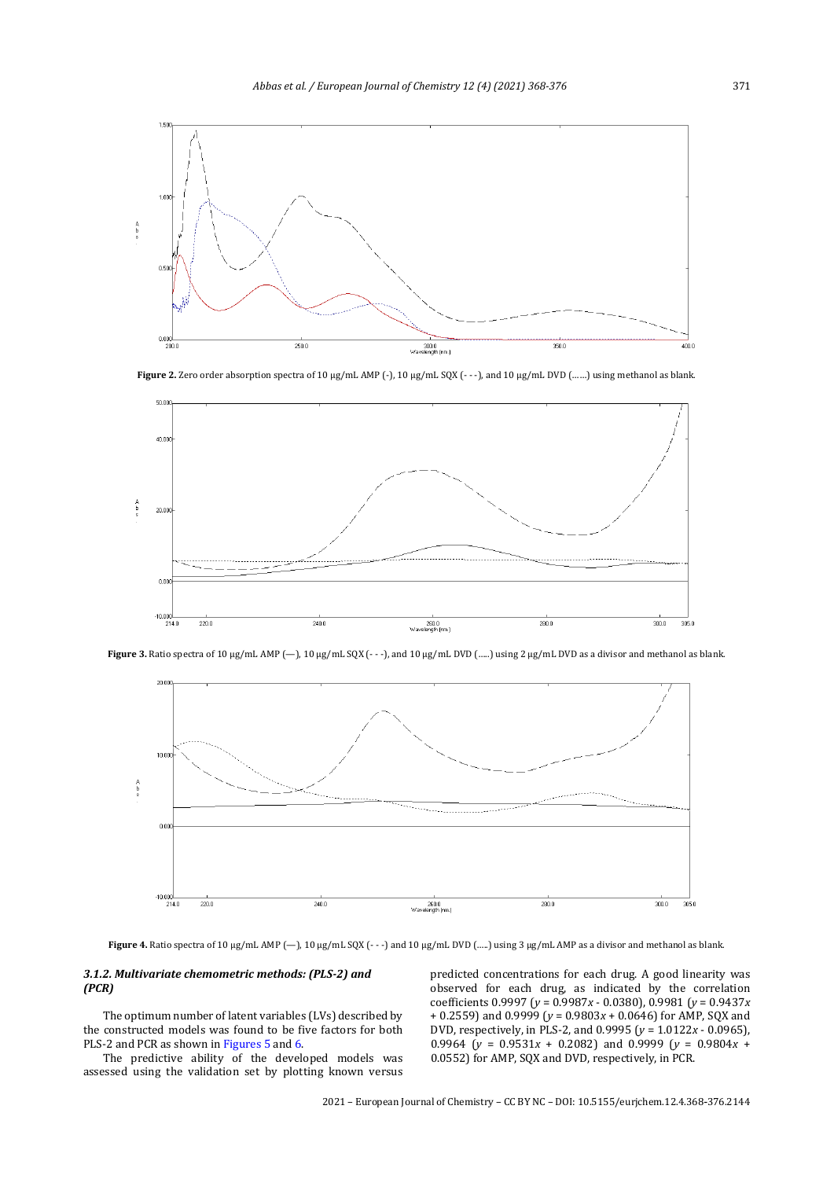

Figure 2. Zero order absorption spectra of 10 µg/mL AMP (-), 10 µg/mL SQX (- - -), and 10 µg/mL DVD (......) using methanol as blank



Figure 3. Ratio spectra of 10 µg/mL AMP (-), 10 µg/mL SQX (- - -), and 10 µg/mL DVD (.....) using 2 µg/mL DVD as a divisor and methanol as blank.



Figure 4. Ratio spectra of 10 µg/mL AMP (-), 10 µg/mL SQX (- - -) and 10 µg/mL DVD (.....) using 3 µg/mL AMP as a divisor and methanol as blank.

# *3.1.2. Multivariate chemometric methods: (PLS-2) and (PCR)*

The optimum number of latent variables (LVs) described by the constructed models was found to be five factors for both PLS-2 and PCR as shown in Figures 5 and 6.

The predictive ability of the developed models was assessed using the validation set by plotting known versus

predicted concentrations for each drug. A good linearity was observed for each drug, as indicated by the correlation coefficients 0.9997 (*y* = 0.9987*x* - 0.0380), 0.9981 (*y* = 0.9437*x* + 0.2559) and 0.9999 (*y* = 0.9803*x* + 0.0646) for AMP, SQX and DVD, respectively, in PLS-2, and 0.9995 (*y* = 1.0122*x* - 0.0965), 0.9964 ( $y = 0.9531x + 0.2082$ ) and 0.9999 ( $y = 0.9804x + 0.2082$ ) 0.0552) for AMP, SQX and DVD, respectively, in PCR.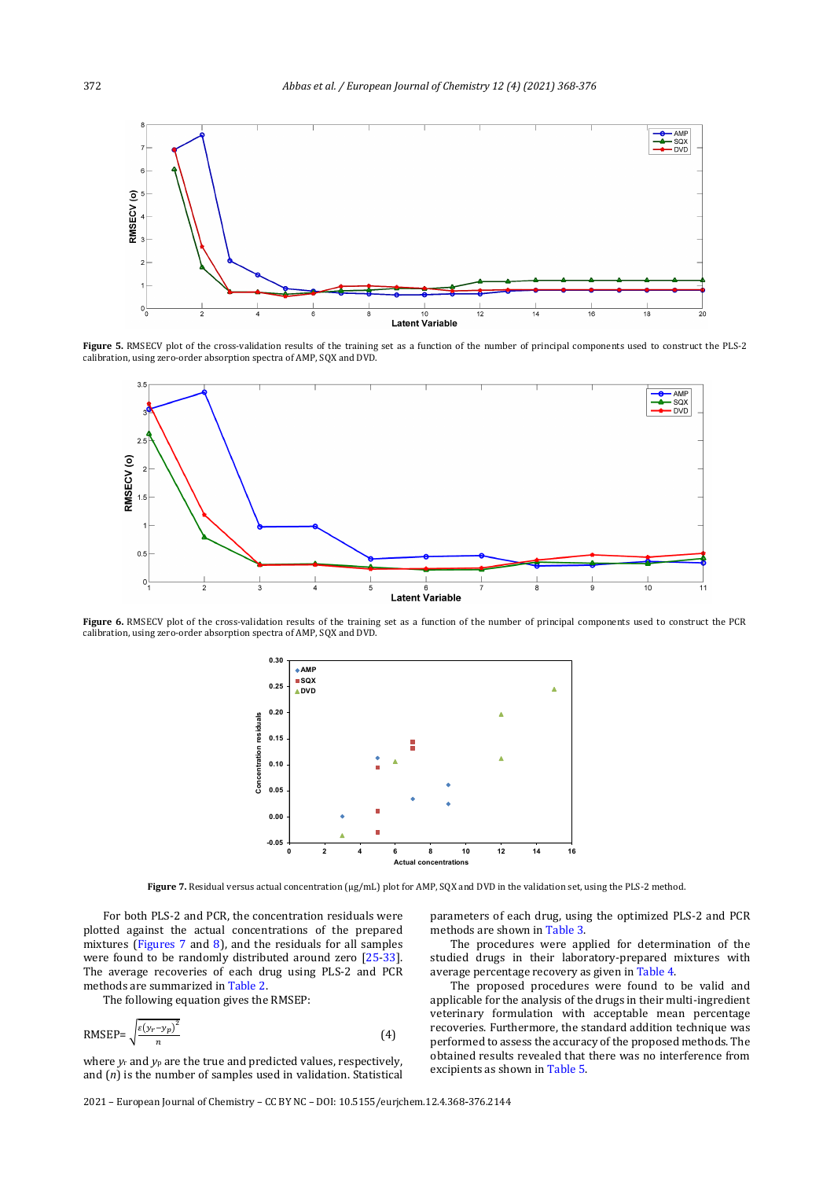

**Figure 5.** RMSECV plot of the cross-validation results of the training set as a function of the number of principal components used to construct the PLS-2 calibration, using zero-order absorption spectra of AMP, SQX and DVD.



Figure 6. RMSECV plot of the cross-validation results of the training set as a function of the number of principal components used to construct the PCR calibration, using zero-order absorption spectra of AMP, SQX and DVD.



**Figure 7.** Residual versus actual concentration (μg/mL) plot for AMP, SQX and DVD in the validation set, using the PLS-2 method.

For both PLS-2 and PCR, the concentration residuals were plotted against the actual concentrations of the prepared mixtures (Figures 7 and 8), and the residuals for all samples were found to be randomly distributed around zero [25-33]. The average recoveries of each drug using PLS-2 and PCR methods are summarized in Table 2.

The following equation gives the RMSEP:

$$
RMSEP = \sqrt{\frac{\varepsilon(\gamma - \gamma_p)^2}{n}}\tag{4}
$$

where  $y_r$  and  $y_p$  are the true and predicted values, respectively, and (*n*) is the number of samples used in validation. Statistical parameters of each drug, using the optimized PLS-2 and PCR methods are shown in Table 3.

The procedures were applied for determination of the studied drugs in their laboratory-prepared mixtures with average percentage recovery as given in Table 4.

The proposed procedures were found to be valid and applicable for the analysis of the drugs in their multi-ingredient veterinary formulation with acceptable mean percentage recoveries. Furthermore, the standard addition technique was performed to assess the accuracy of the proposed methods. The obtained results revealed that there was no interference from excipients as shown in Table 5.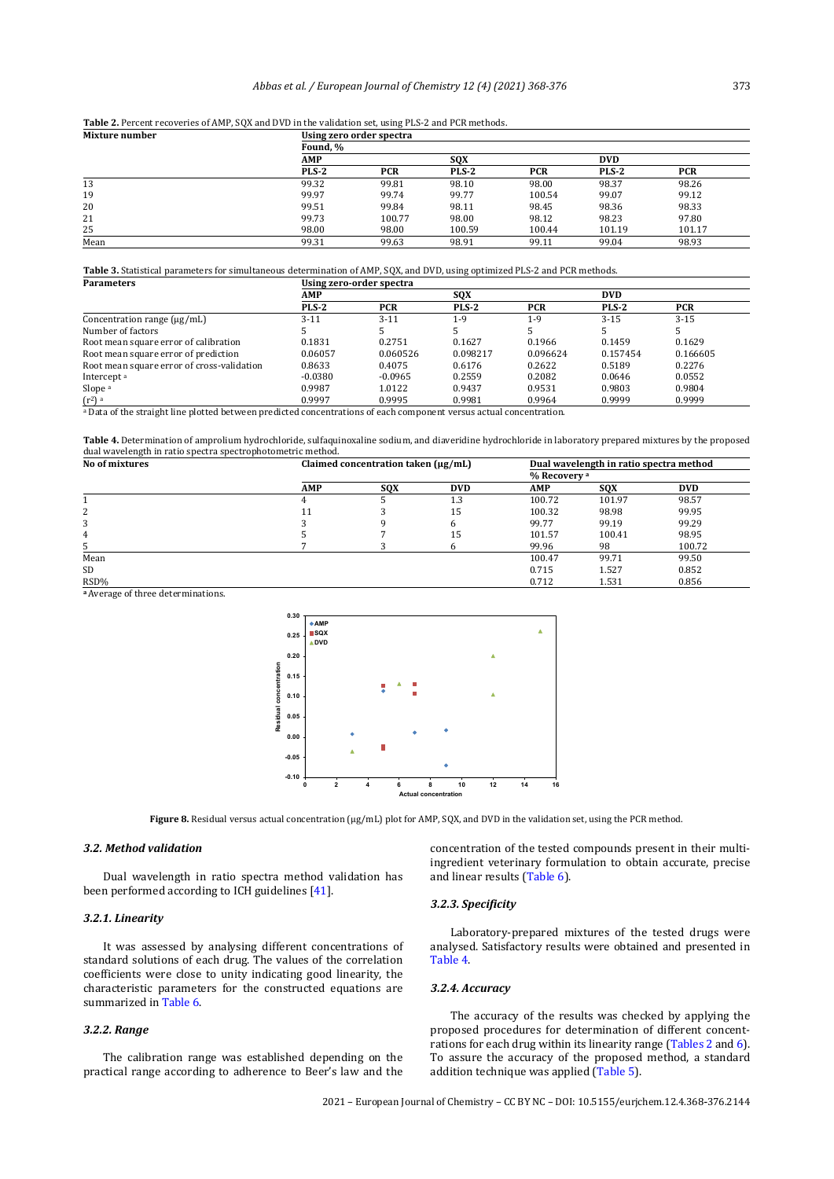|  | Table 2. Percent recoveries of AMP, SQX and DVD in the validation set, using PLS-2 and PCR methods. |  |  |  |  |  |
|--|-----------------------------------------------------------------------------------------------------|--|--|--|--|--|
|  |                                                                                                     |  |  |  |  |  |

| Mixture number |            | Using zero order spectra |            |            |            |            |
|----------------|------------|--------------------------|------------|------------|------------|------------|
|                | Found, %   |                          |            |            |            |            |
|                | <b>AMP</b> |                          | <b>SOX</b> |            | <b>DVD</b> |            |
|                | $PLS-2$    | <b>PCR</b>               | $PLS-2$    | <b>PCR</b> | PLS-2      | <b>PCR</b> |
| 13             | 99.32      | 99.81                    | 98.10      | 98.00      | 98.37      | 98.26      |
| 19             | 99.97      | 99.74                    | 99.77      | 100.54     | 99.07      | 99.12      |
| 20             | 99.51      | 99.84                    | 98.11      | 98.45      | 98.36      | 98.33      |
| 21             | 99.73      | 100.77                   | 98.00      | 98.12      | 98.23      | 97.80      |
| 25             | 98.00      | 98.00                    | 100.59     | 100.44     | 101.19     | 101.17     |
| Mean           | 99.31      | 99.63                    | 98.91      | 99.11      | 99.04      | 98.93      |

# **Table 3.** Statistical parameters for simultaneous determination of AMP, SQX, and DVD, using optimized PLS-2 and PCR methods.

| <b>Parameters</b>                                                                                                   | Using zero-order spectra |            |            |            |            |            |  |  |
|---------------------------------------------------------------------------------------------------------------------|--------------------------|------------|------------|------------|------------|------------|--|--|
|                                                                                                                     | <b>AMP</b>               |            | <b>SOX</b> |            | <b>DVD</b> |            |  |  |
|                                                                                                                     | $PLS-2$                  | <b>PCR</b> | PLS-2      | <b>PCR</b> | $PLS-2$    | <b>PCR</b> |  |  |
| Concentration range $(\mu g/mL)$                                                                                    | 3-11                     | $3 - 11$   | $1-9$      | $1-9$      | $3 - 15$   | $3 - 15$   |  |  |
| Number of factors                                                                                                   |                          |            |            |            |            |            |  |  |
| Root mean square error of calibration                                                                               | 0.1831                   | 0.2751     | 0.1627     | 0.1966     | 0.1459     | 0.1629     |  |  |
| Root mean square error of prediction                                                                                | 0.06057                  | 0.060526   | 0.098217   | 0.096624   | 0.157454   | 0.166605   |  |  |
| Root mean square error of cross-validation                                                                          | 0.8633                   | 0.4075     | 0.6176     | 0.2622     | 0.5189     | 0.2276     |  |  |
| Intercept <sup>a</sup>                                                                                              | $-0.0380$                | $-0.0965$  | 0.2559     | 0.2082     | 0.0646     | 0.0552     |  |  |
| Slope <sup>a</sup>                                                                                                  | 0.9987                   | 1.0122     | 0.9437     | 0.9531     | 0.9803     | 0.9804     |  |  |
| $(r^2)$ a                                                                                                           | 0.9997                   | 0.9995     | 0.9981     | 0.9964     | 0.9999     | 0.9999     |  |  |
| a Data of the straight line plotted between predicted concentrations of each component versus actual concentration. |                          |            |            |            |            |            |  |  |

**Table 4.** Determination of amprolium hydrochloride, sulfaquinoxaline sodium, and diaveridine hydrochloride in laboratory prepared mixtures by the proposed dual wavelength in ratio spectra spectrophotometric method.

| No of mixtures |            | Claimed concentration taken (µg/mL) |                         | Dual wavelength in ratio spectra method |        |            |  |
|----------------|------------|-------------------------------------|-------------------------|-----------------------------------------|--------|------------|--|
|                |            |                                     | % Recovery <sup>a</sup> |                                         |        |            |  |
|                | <b>AMP</b> | <b>SOX</b>                          | <b>DVD</b>              | AMP                                     | SQX    | <b>DVD</b> |  |
|                |            |                                     | 1.3                     | 100.72                                  | 101.97 | 98.57      |  |
| 2              |            |                                     | 15                      | 100.32                                  | 98.98  | 99.95      |  |
|                |            |                                     | 6                       | 99.77                                   | 99.19  | 99.29      |  |
| 4              |            |                                     | 15                      | 101.57                                  | 100.41 | 98.95      |  |
|                |            |                                     |                         | 99.96                                   | 98     | 100.72     |  |
| Mean           |            |                                     |                         | 100.47                                  | 99.71  | 99.50      |  |
| SD             |            |                                     |                         | 0.715                                   | 1.527  | 0.852      |  |
| RSD%           |            |                                     |                         | 0.712                                   | 1.531  | 0.856      |  |

**<sup>a</sup>**Average of three determinations.



**Figure 8.** Residual versus actual concentration (μg/mL) plot for AMP, SQX, and DVD in the validation set, using the PCR method.

### *3.2. Method validation*

Dual wavelength in ratio spectra method validation has been performed according to ICH guidelines [41].

#### *3.2.1. Linearity*

It was assessed by analysing different concentrations of standard solutions of each drug. The values of the correlation coefficients were close to unity indicating good linearity, the characteristic parameters for the constructed equations are summarized in Table 6.

#### *3.2.2. Range*

The calibration range was established depending on the practical range according to adherence to Beer's law and the

concentration of the tested compounds present in their multiingredient veterinary formulation to obtain accurate, precise and linear results (Table 6).

#### *3.2.3. Specificity*

Laboratory-prepared mixtures of the tested drugs were analysed. Satisfactory results were obtained and presented in Table 4.

#### *3.2.4. Accuracy*

The accuracy of the results was checked by applying the proposed procedures for determination of different concentrations for each drug within its linearity range (Tables 2 and 6). To assure the accuracy of the proposed method, a standard addition technique was applied (Table 5).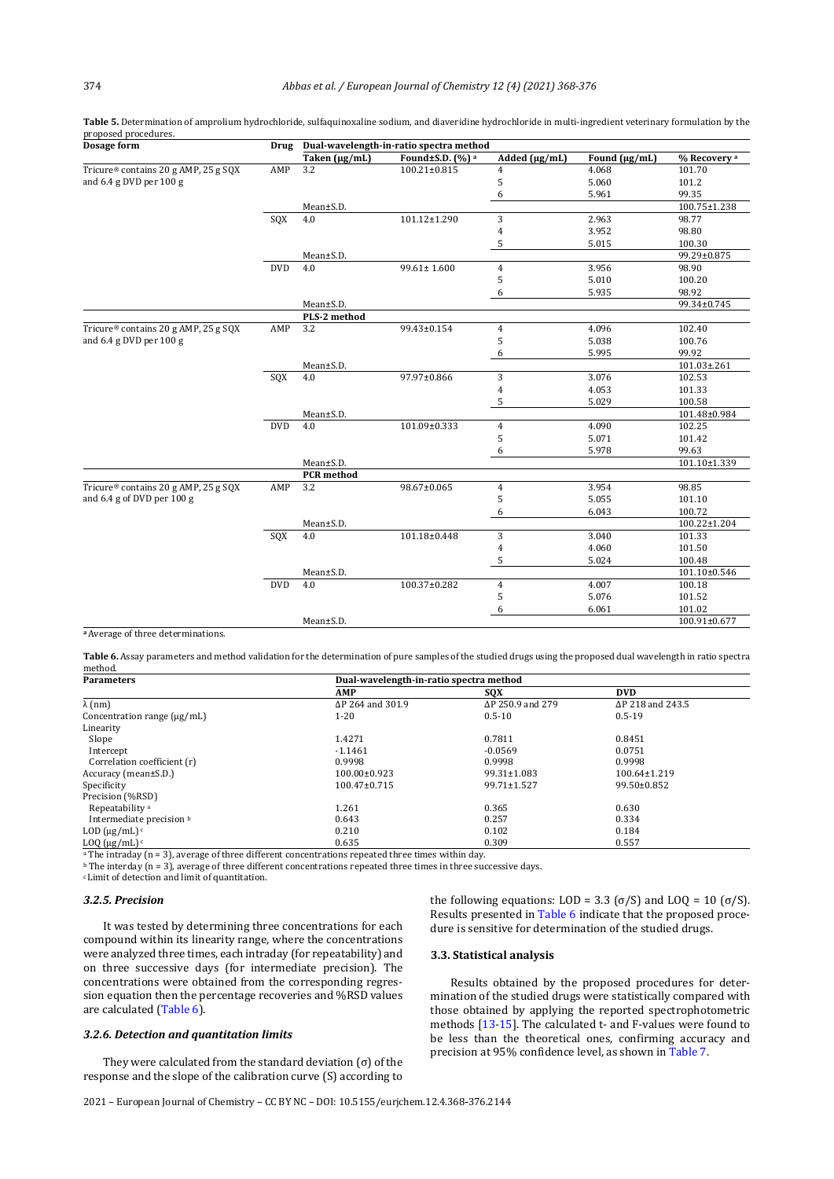|                                      |            |                      | Found±S.D. (%) a   | Added $(\mu g/mL)$ | Found (µg/mL) | % Recovery <sup>a</sup> |
|--------------------------------------|------------|----------------------|--------------------|--------------------|---------------|-------------------------|
| Tricure® contains 20 g AMP, 25 g SQX | AMP        | Taken (µg/mL)<br>3.2 | $100.21 \pm 0.815$ | 4                  | 4.068         | 101.70                  |
| and 6.4 g DVD per 100 g              |            |                      |                    | 5                  | 5.060         | 101.2                   |
|                                      |            |                      |                    | 6                  | 5.961         | 99.35                   |
|                                      |            | Mean±S.D.            |                    |                    |               | 100.75±1.238            |
|                                      |            | 4.0                  | 101.12±1.290       |                    | 2.963         | 98.77                   |
|                                      | SQX        |                      |                    | 3                  |               |                         |
|                                      |            |                      |                    | 4                  | 3.952         | 98.80                   |
|                                      |            |                      |                    | 5                  | 5.015         | 100.30                  |
|                                      |            | Mean±S.D.            |                    |                    |               | 99.29±0.875             |
|                                      | <b>DVD</b> | 4.0                  | $99.61 \pm 1.600$  | $\overline{4}$     | 3.956         | 98.90                   |
|                                      |            |                      |                    | 5                  | 5.010         | 100.20                  |
|                                      |            |                      |                    | 6                  | 5.935         | 98.92                   |
|                                      |            | Mean±S.D.            |                    |                    |               | 99.34±0.745             |
|                                      |            | PLS-2 method         |                    |                    |               |                         |
| Tricure® contains 20 g AMP, 25 g SQX | AMP        | 3.2                  | 99.43±0.154        | $\overline{4}$     | 4.096         | 102.40                  |
| and 6.4 g DVD per 100 g              |            |                      |                    | 5                  | 5.038         | 100.76                  |
|                                      |            |                      |                    | 6                  | 5.995         | 99.92                   |
|                                      |            | Mean±S.D.            |                    |                    |               | 101.03±.261             |
|                                      | SQX        | 4.0                  | 97.97±0.866        | 3                  | 3.076         | 102.53                  |
|                                      |            |                      |                    | 4                  | 4.053         | 101.33                  |
|                                      |            |                      |                    | 5                  | 5.029         | 100.58                  |
|                                      |            | Mean±S.D.            |                    |                    |               | 101.48±0.984            |
|                                      | <b>DVD</b> | 4.0                  | 101.09±0.333       | 4                  | 4.090         | 102.25                  |
|                                      |            |                      |                    | 5                  | 5.071         | 101.42                  |
|                                      |            |                      |                    | 6                  | 5.978         | 99.63                   |
|                                      |            | Mean±S.D.            |                    |                    |               | 101.10±1.339            |
|                                      |            | <b>PCR</b> method    |                    |                    |               |                         |
| Tricure® contains 20 g AMP, 25 g SQX | AMP        | 3.2                  | 98.67±0.065        | 4                  | 3.954         | 98.85                   |
| and 6.4 g of DVD per 100 g           |            |                      |                    | 5                  | 5.055         | 101.10                  |
|                                      |            |                      |                    | 6                  | 6.043         | 100.72                  |
|                                      |            | Mean±S.D.            |                    |                    |               | 100.22±1.204            |
|                                      | SQX        | 4.0                  | 101.18±0.448       | 3                  | 3.040         | 101.33                  |
|                                      |            |                      |                    | 4                  | 4.060         | 101.50                  |
|                                      |            |                      |                    | 5                  | 5.024         | 100.48                  |
|                                      |            | Mean±S.D.            |                    |                    |               | 101.10±0.546            |
|                                      | <b>DVD</b> | 4.0                  | 100.37±0.282       | $\overline{4}$     | 4.007         | 100.18                  |
|                                      |            |                      |                    | 5                  | 5.076         | 101.52                  |
|                                      |            |                      |                    | 6                  | 6.061         | 101.02                  |
|                                      |            | Mean±S.D.            |                    |                    |               | 100.91±0.677            |
|                                      |            |                      |                    |                    |               |                         |

**Table 5.** Determination of amprolium hydrochloride, sulfaquinoxaline sodium, and diaveridine hydrochloride in multi-ingredient veterinary formulation by the proposed procedures.<br>Dosage form **Drug Dual-wavelength-in-ratio spectra method** 

Table 6. Assay parameters and method validation for the determination of pure samples of the studied drugs using the proposed dual wavelength in ratio spectra method.

| <b>Parameters</b>                | Dual-wavelength-in-ratio spectra method |                  |                  |  |  |  |  |  |
|----------------------------------|-----------------------------------------|------------------|------------------|--|--|--|--|--|
|                                  | <b>AMP</b>                              | SOX              | <b>DVD</b>       |  |  |  |  |  |
| $\lambda$ (nm)                   | ΔP 264 and 301.9                        | ΔP 250.9 and 279 | ΔP 218 and 243.5 |  |  |  |  |  |
| Concentration range $(\mu g/mL)$ | $1 - 20$                                | $0.5 - 10$       | $0.5 - 19$       |  |  |  |  |  |
| Linearity                        |                                         |                  |                  |  |  |  |  |  |
| Slope                            | 1.4271                                  | 0.7811           | 0.8451           |  |  |  |  |  |
| Intercept                        | $-1.1461$                               | $-0.0569$        | 0.0751           |  |  |  |  |  |
| Correlation coefficient (r)      | 0.9998                                  | 0.9998           | 0.9998           |  |  |  |  |  |
| Accuracy (mean±S.D.)             | $100.00 \pm 0.923$                      | 99.31±1.083      | 100.64±1.219     |  |  |  |  |  |
| Specificity                      | $100.47 \pm 0.715$                      | 99.71±1.527      | 99.50±0.852      |  |  |  |  |  |
| Precision (%RSD)                 |                                         |                  |                  |  |  |  |  |  |
| Repeatability <sup>a</sup>       | 1.261                                   | 0.365            | 0.630            |  |  |  |  |  |
| Intermediate precision b         | 0.643                                   | 0.257            | 0.334            |  |  |  |  |  |
| LOD $(\mu g/mL)$ <sup>c</sup>    | 0.210                                   | 0.102            | 0.184            |  |  |  |  |  |
| LOQ $(\mu g/mL)^c$               | 0.635                                   | 0.309            | 0.557            |  |  |  |  |  |

<sup>a</sup> The intraday (n = 3), average of three different concentrations repeated three times within day.

**b** The interday (n = 3), average of three different concentrations repeated three times in three successive days.

c Limit of detection and limit of quantitation.

**<sup>a</sup>**Average of three determinations.

# *3.2.5. Precision*

It was tested by determining three concentrations for each compound within its linearity range, where the concentrations were analyzed three times, each intraday (for repeatability) and on three successive days (for intermediate precision). The concentrations were obtained from the corresponding regression equation then the percentage recoveries and %RSD values are calculated (Table 6).

#### *3.2.6. Detection and quantitation limits*

They were calculated from the standard deviation  $(\sigma)$  of the response and the slope of the calibration curve (S) according to the following equations: LOD = 3.3 (σ/S) and LOO = 10 (σ/S). Results presented in Table 6 indicate that the proposed procedure is sensitive for determination of the studied drugs.

# **3.3. Statistical analysis**

Results obtained by the proposed procedures for determination of the studied drugs were statistically compared with those obtained by applying the reported spectrophotometric methods [13-15]. The calculated t- and F-values were found to be less than the theoretical ones, confirming accuracy and precision at 95% confidence level, as shown in Table 7.

2021 – European Journal of Chemistry – CC BY NC – DOI: 10.5155/eurjchem.12.4.368-376.2144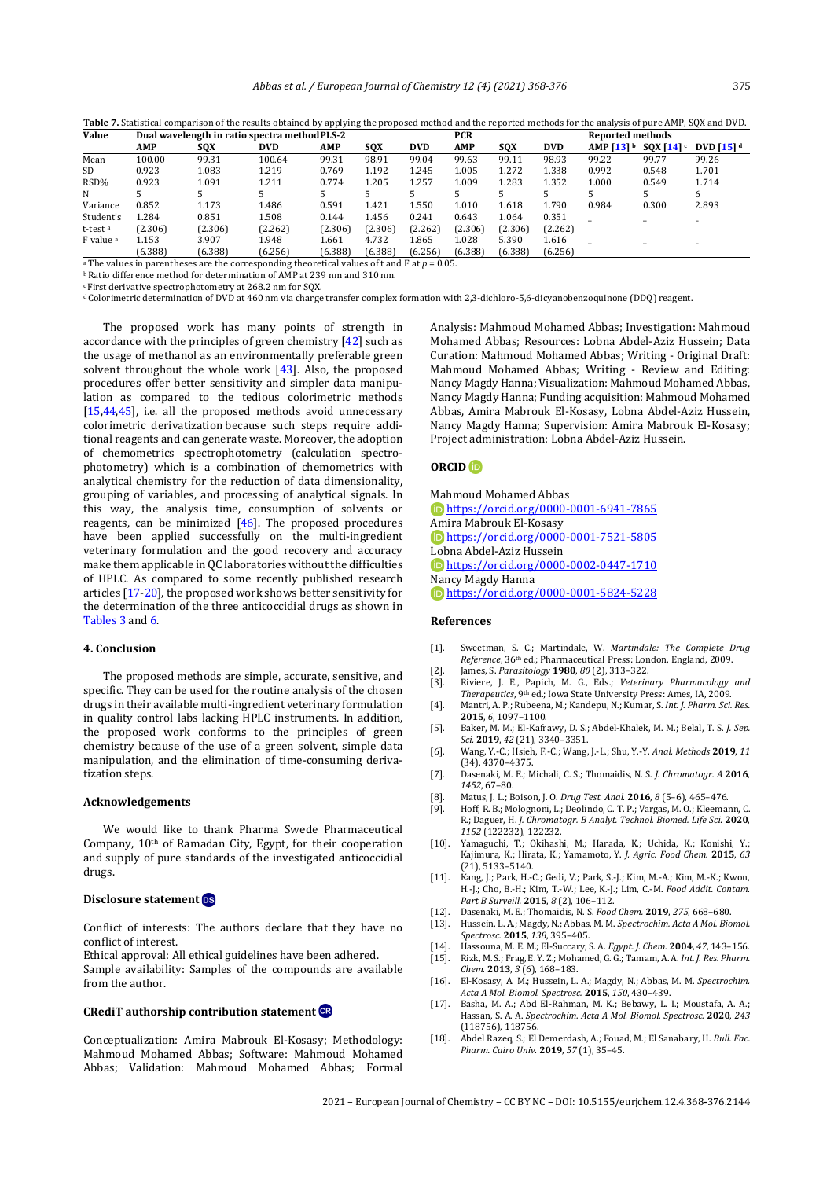| ۱<br>۰,<br>× | I<br>۰.<br>× |
|--------------|--------------|

**Table 7.** Statistical comparison of the results obtained by applying the proposed method and the reported methods for the analysis of pure AMP, SQX and DVD.

| Value                | Dual wavelength in ratio spectra method PLS-2                                                              |         |            |            |         | <b>PCR</b> |         |         | <b>Reported methods</b> |                         |                    |                         |
|----------------------|------------------------------------------------------------------------------------------------------------|---------|------------|------------|---------|------------|---------|---------|-------------------------|-------------------------|--------------------|-------------------------|
|                      | <b>AMP</b>                                                                                                 | SQX     | <b>DVD</b> | <b>AMP</b> | SOX     | <b>DVD</b> | AMP     | SOX     | <b>DVD</b>              | AMP $[13]$ <sup>b</sup> | $SQX$ [14] $\circ$ | DVD $[15]$ <sup>d</sup> |
| Mean                 | 100.00                                                                                                     | 99.31   | 100.64     | 99.31      | 98.91   | 99.04      | 99.63   | 99.11   | 98.93                   | 99.22                   | 99.77              | 99.26                   |
| <b>SD</b>            | 0.923                                                                                                      | 1.083   | 1.219      | 0.769      | 1.192   | 1.245      | 1.005   | 1.272   | 1.338                   | 0.992                   | 0.548              | 1.701                   |
| RSD%                 | 0.923                                                                                                      | 1.091   | 1.211      | 0.774      | 1.205   | 1.257      | 1.009   | 1.283   | 1.352                   | 1.000                   | 0.549              | 1.714                   |
| N                    |                                                                                                            |         |            |            |         |            |         |         |                         |                         |                    | 6                       |
| Variance             | 0.852                                                                                                      | 1.173   | 1.486      | 0.591      | 1.421   | 1.550      | 1.010   | 1.618   | 1.790                   | 0.984                   | 0.300              | 2.893                   |
| Student's            | 1.284                                                                                                      | 0.851   | 1.508      | 0.144      | 1.456   | 0.241      | 0.643   | 1.064   | 0.351                   |                         |                    |                         |
| t-test <sup>a</sup>  | (2.306)                                                                                                    | (2.306) | (2.262)    | (2.306)    | (2.306) | (2.262)    | (2.306) | (2.306) | (2.262)                 |                         |                    |                         |
| F value <sup>a</sup> | 1.153                                                                                                      | 3.907   | 1.948      | 1.661      | 4.732   | 1.865      | 1.028   | 5.390   | 1.616                   |                         |                    |                         |
|                      | (6.388)                                                                                                    | (6.388) | (6.256)    | (6.388)    | (6.388) | (6.256)    | (6.388) | (6.388) | (6.256)                 |                         |                    |                         |
|                      | <sup>a</sup> The values in parentheses are the corresponding theoretical values of t and F at $p = 0.05$ . |         |            |            |         |            |         |         |                         |                         |                    |                         |

b Ratio difference method for determination of AMP at 239 nm and 310 nm.

<sup>c</sup> First derivative spectrophotometry at 268.2 nm for SQX.

d Colorimetric determination of DVD at 460 nm via charge transfer complex formation with 2,3-dichloro-5,6-dicyanobenzoquinone (DDQ) reagent.

The proposed work has many points of strength in accordance with the principles of green chemistry [42] such as the usage of methanol as an environmentally preferable green solvent throughout the whole work [43]. Also, the proposed procedures offer better sensitivity and simpler data manipulation as compared to the tedious colorimetric methods [15,44,45], i.e. all the proposed methods avoid unnecessary colorimetric derivatization because such steps require additional reagents and can generate waste. Moreover, the adoption of chemometrics spectrophotometry (calculation spectrophotometry) which is a combination of chemometrics with analytical chemistry for the reduction of data dimensionality, grouping of variables, and processing of analytical signals. In this way, the analysis time, consumption of solvents or reagents, can be minimized [46]. The proposed procedures have been applied successfully on the multi-ingredient veterinary formulation and the good recovery and accuracy make them applicable in QC laboratories without the difficulties of HPLC. As compared to some recently published research articles [17-20], the proposed work shows better sensitivity for the determination of the three anticoccidial drugs as shown in Tables 3 and 6.

# **4. Conclusion**

The proposed methods are simple, accurate, sensitive, and specific. They can be used for the routine analysis of the chosen drugs in their available multi-ingredient veterinary formulation in quality control labs lacking HPLC instruments. In addition, the proposed work conforms to the principles of green chemistry because of the use of a green solvent, simple data manipulation, and the elimination of time-consuming derivatization steps.

# **Acknowledgements**

We would like to thank Pharma Swede Pharmaceutical Company, 10<sup>th</sup> of Ramadan City, Egypt, for their cooperation and supply of pure standards of the investigated anticoccidial drugs.

# **Disclosure statement**

Conflict of interests: The authors declare that they have no conflict of interest.

Ethical approval: All ethical guidelines have been adhered. Sample availability: Samples of the compounds are available from the author.

#### **CRediT authorship contribution statement**

Conceptualization: Amira Mabrouk El-Kosasy; Methodology: Mahmoud Mohamed Abbas; Software: Mahmoud Mohamed Abbas; Validation: Mahmoud Mohamed Abbas; Formal Analysis: Mahmoud Mohamed Abbas; Investigation: Mahmoud Mohamed Abbas; Resources: Lobna Abdel-Aziz Hussein; Data Curation: Mahmoud Mohamed Abbas; Writing - Original Draft: Mahmoud Mohamed Abbas; Writing - Review and Editing: Nancy Magdy Hanna; Visualization: Mahmoud Mohamed Abbas, Nancy Magdy Hanna; Funding acquisition: Mahmoud Mohamed Abbas, Amira Mabrouk El-Kosasy, Lobna Abdel-Aziz Hussein, Nancy Magdy Hanna; Supervision: Amira Mabrouk El-Kosasy; Project administration: Lobna Abdel-Aziz Hussein.

# <span id="page-7-0"></span>**ORCID**

Mahmoud Mohamed Abbas <https://orcid.org/0000-0001-6941-7865> Amira Mabrouk El-Kosasy <https://orcid.org/0000-0001-7521-5805> Lobna Abdel-Aziz Hussein <https://orcid.org/0000-0002-0447-1710> Nancy Magdy Hanna <https://orcid.org/0000-0001-5824-5228>

# **References**

- [1]. Sweetman, S. C.; Martindale, W. *Martindale: The Complete Drug Reference*, 36th ed.; Pharmaceutical Press: London, England, 2009.
- [2]. James, S. *Parasitology* **1980**, *80* (2), 313–322.
- [3]. Riviere, J. E., Papich, M. G., Eds.; *Veterinary Pharmacology and Therapeutics*, 9th ed.; Iowa State University Press: Ames, IA, 2009.
- [4]. Mantri, A. P.; Rubeena, M.; Kandepu, N.; Kumar, S. *Int. J. Pharm. Sci. Res.* **2015**, *6*, 1097–1100.
- [5]. Baker, M. M.; El-Kafrawy, D. S.; Abdel-Khalek, M. M.; Belal, T. S. *J. Sep. Sci.* **2019**, *42* (21), 3340–3351.
- [6]. Wang, Y.-C.; Hsieh, F.-C.; Wang, J.-L.; Shu, Y.-Y. *Anal. Methods* **2019**, *11* (34), 4370–4375.
- [7]. Dasenaki, M. E.; Michali, C. S.; Thomaidis, N. S. *J. Chromatogr. A* **2016**, *1452*, 67–80.
- [8]. Matus, J. L.; Boison, J. O. *Drug Test. Anal.* **2016**, *8* (5–6), 465–476.
- Hoff, R. B.; Molognoni, L.; Deolindo, C. T. P.; Vargas, M. O.; Kleemann, R.; Daguer, H. *J. Chromatogr. B Analyt. Technol. Biomed. Life Sci.* **2020**, *1152* (122232), 122232.
- [10]. Yamaguchi, T.; Okihashi, M.; Harada, K.; Uchida, K.; Konishi, Y.; Kajimura, K.; Hirata, K.; Yamamoto, Y. *J. Agric. Food Chem.* **2015**, *63* (21), 5133–5140.
- [11]. Kang, J.; Park, H.-C.; Gedi, V.; Park, S.-J.; Kim, M.-A.; Kim, M.-K.; Kwon, H.-J.; Cho, B.-H.; Kim, T.-W.; Lee, K.-J.; Lim, C.-M. *Food Addit. Contam. Part B Surveill.* **2015**, *8* (2), 106–112.
- [12]. Dasenaki, M. E.; Thomaidis, N. S. *Food Chem.* **2019**, *275*, 668–680.
- Hussein, L. A.; Magdy, N.; Abbas, M. M. Spectrochim. Acta A Mol. Biomol. *Spectrosc.* **2015**, *138*, 395–405.
- [14]. Hassouna, M. E. M.; El-Succary, S. A. *Egypt. J. Chem*. **2004**, *47*, 143–156. [15]. Rizk, M. S.; Frag, E. Y. Z.; Mohamed, G. G.; Tamam, A. A. *Int. J. Res. Pharm.*
- *Chem*. **2013**, *3* (6), 168–183. [16]. El-Kosasy, A. M.; Hussein, L. A.; Magdy, N.; Abbas, M. M. *Spectrochim.*
- *Acta A Mol. Biomol. Spectrosc.* **2015**, *150*, 430–439.
- [17]. Basha, M. A.; Abd El-Rahman, M. K.; Bebawy, L. I.; Moustafa, A. A.; Hassan, S. A. A. *Spectrochim. Acta A Mol. Biomol. Spectrosc.* **2020**, *243* (118756), 118756.
- [18]. Abdel Razeq, S.; El Demerdash, A.; Fouad, M.; El Sanabary, H. *Bull. Fac. Pharm. Cairo Univ.* **2019**, *57* (1), 35–45.